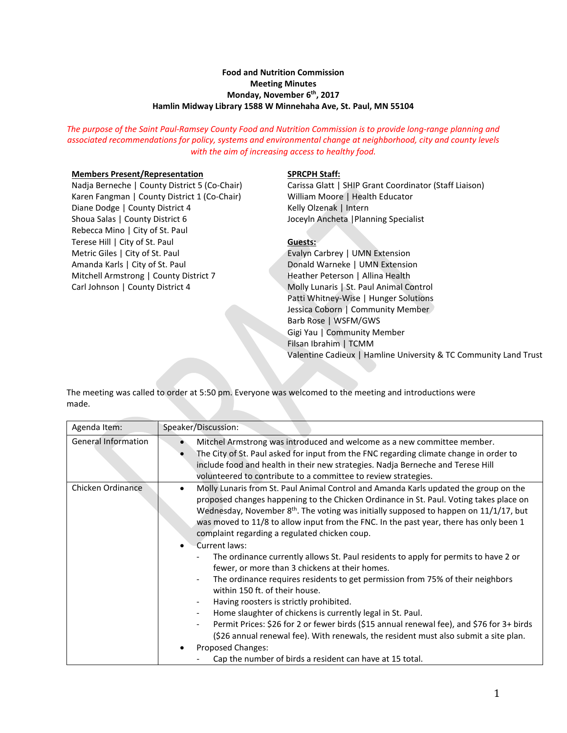## **Food and Nutrition Commission Meeting Minutes Monday, November 6th, 2017 Hamlin Midway Library 1588 W Minnehaha Ave, St. Paul, MN 55104**

*The purpose of the Saint Paul-Ramsey County Food and Nutrition Commission is to provide long-range planning and associated recommendations for policy, systems and environmental change at neighborhood, city and county levels with the aim of increasing access to healthy food.*

## **Members Present/Representation**

Nadja Berneche | County District 5 (Co-Chair) Karen Fangman | County District 1 (Co-Chair) Diane Dodge | County District 4 Shoua Salas | County District 6 Rebecca Mino | City of St. Paul Terese Hill | City of St. Paul Metric Giles | City of St. Paul Amanda Karls | City of St. Paul Mitchell Armstrong | County District 7 Carl Johnson | County District 4

#### **SPRCPH Staff:**

Carissa Glatt | SHIP Grant Coordinator (Staff Liaison) William Moore | Health Educator Kelly Olzenak | Intern Joceyln Ancheta |Planning Specialist

### **Guests:**

Evalyn Carbrey | UMN Extension Donald Warneke | UMN Extension Heather Peterson | Allina Health Molly Lunaris | St. Paul Animal Control Patti Whitney-Wise | Hunger Solutions Jessica Coborn | Community Member Barb Rose | WSFM/GWS Gigi Yau | Community Member Filsan Ibrahim | TCMM Valentine Cadieux | Hamline University & TC Community Land Trust

The meeting was called to order at 5:50 pm. Everyone was welcomed to the meeting and introductions were made.

| Agenda Item:               | Speaker/Discussion:                                                                                                                                                                                                                                                                                                                                                                                                                                                                                                                                                                                                                                                                                                                                                                                                                                                                                                                                                                                                                                                                                           |
|----------------------------|---------------------------------------------------------------------------------------------------------------------------------------------------------------------------------------------------------------------------------------------------------------------------------------------------------------------------------------------------------------------------------------------------------------------------------------------------------------------------------------------------------------------------------------------------------------------------------------------------------------------------------------------------------------------------------------------------------------------------------------------------------------------------------------------------------------------------------------------------------------------------------------------------------------------------------------------------------------------------------------------------------------------------------------------------------------------------------------------------------------|
| <b>General Information</b> | Mitchel Armstrong was introduced and welcome as a new committee member.<br>The City of St. Paul asked for input from the FNC regarding climate change in order to<br>include food and health in their new strategies. Nadja Berneche and Terese Hill<br>volunteered to contribute to a committee to review strategies.                                                                                                                                                                                                                                                                                                                                                                                                                                                                                                                                                                                                                                                                                                                                                                                        |
| Chicken Ordinance          | Molly Lunaris from St. Paul Animal Control and Amanda Karls updated the group on the<br>proposed changes happening to the Chicken Ordinance in St. Paul. Voting takes place on<br>Wednesday, November 8 <sup>th</sup> . The voting was initially supposed to happen on 11/1/17, but<br>was moved to 11/8 to allow input from the FNC. In the past year, there has only been 1<br>complaint regarding a regulated chicken coup.<br>Current laws:<br>$\bullet$<br>The ordinance currently allows St. Paul residents to apply for permits to have 2 or<br>fewer, or more than 3 chickens at their homes.<br>The ordinance requires residents to get permission from 75% of their neighbors<br>within 150 ft. of their house.<br>Having roosters is strictly prohibited.<br>Home slaughter of chickens is currently legal in St. Paul.<br>Permit Prices: \$26 for 2 or fewer birds (\$15 annual renewal fee), and \$76 for 3+ birds<br>(\$26 annual renewal fee). With renewals, the resident must also submit a site plan.<br>Proposed Changes:<br>٠<br>Cap the number of birds a resident can have at 15 total. |